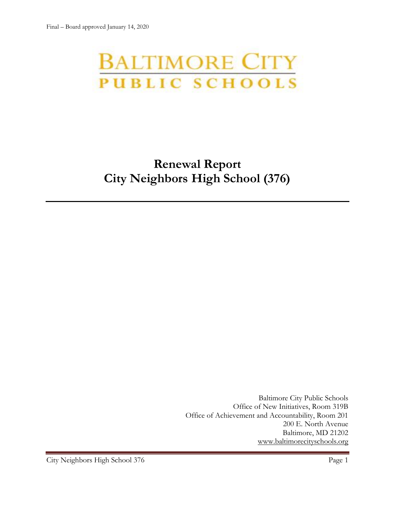# **BALTIMORE CITY** PUBLIC SCHOOLS

## **Renewal Report City Neighbors High School (376)**

Baltimore City Public Schools Office of New Initiatives, Room 319B Office of Achievement and Accountability, Room 201 200 E. North Avenue Baltimore, MD 21202 [www.baltimorecityschools.org](http://www.baltimorecityschools.org/)

City Neighbors High School 376 Page 1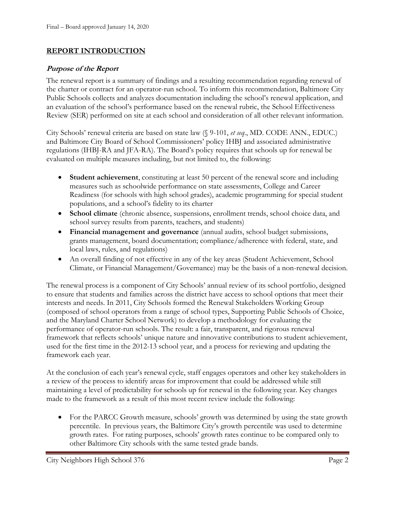## **REPORT INTRODUCTION**

## **Purpose of the Report**

The renewal report is a summary of findings and a resulting recommendation regarding renewal of the charter or contract for an operator-run school. To inform this recommendation, Baltimore City Public Schools collects and analyzes documentation including the school's renewal application, and an evaluation of the school's performance based on the renewal rubric, the School Effectiveness Review (SER) performed on site at each school and consideration of all other relevant information.

City Schools' renewal criteria are based on state law (§ 9-101, *et seq*., MD. CODE ANN., EDUC.) and Baltimore City Board of School Commissioners' policy IHBJ and associated administrative regulations (IHBJ-RA and JFA-RA). The Board's policy requires that schools up for renewal be evaluated on multiple measures including, but not limited to, the following:

- **Student achievement**, constituting at least 50 percent of the renewal score and including measures such as schoolwide performance on state assessments, College and Career Readiness (for schools with high school grades), academic programming for special student populations, and a school's fidelity to its charter
- **School climate** (chronic absence, suspensions, enrollment trends, school choice data, and school survey results from parents, teachers, and students)
- **Financial management and governance** (annual audits, school budget submissions, grants management, board documentation; compliance/adherence with federal, state, and local laws, rules, and regulations)
- An overall finding of not effective in any of the key areas (Student Achievement, School Climate, or Financial Management/Governance) may be the basis of a non-renewal decision.

The renewal process is a component of City Schools' annual review of its school portfolio, designed to ensure that students and families across the district have access to school options that meet their interests and needs. In 2011, City Schools formed the Renewal Stakeholders Working Group (composed of school operators from a range of school types, Supporting Public Schools of Choice, and the Maryland Charter School Network) to develop a methodology for evaluating the performance of operator-run schools. The result: a fair, transparent, and rigorous renewal framework that reflects schools' unique nature and innovative contributions to student achievement, used for the first time in the 2012-13 school year, and a process for reviewing and updating the framework each year.

At the conclusion of each year's renewal cycle, staff engages operators and other key stakeholders in a review of the process to identify areas for improvement that could be addressed while still maintaining a level of predictability for schools up for renewal in the following year. Key changes made to the framework as a result of this most recent review include the following:

• For the PARCC Growth measure, schools' growth was determined by using the state growth percentile. In previous years, the Baltimore City's growth percentile was used to determine growth rates. For rating purposes, schools' growth rates continue to be compared only to other Baltimore City schools with the same tested grade bands.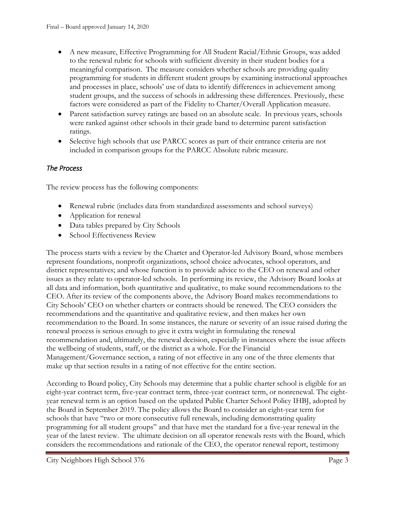- A new measure, Effective Programming for All Student Racial/Ethnic Groups, was added to the renewal rubric for schools with sufficient diversity in their student bodies for a meaningful comparison. The measure considers whether schools are providing quality programming for students in different student groups by examining instructional approaches and processes in place, schools' use of data to identify differences in achievement among student groups, and the success of schools in addressing these differences. Previously, these factors were considered as part of the Fidelity to Charter/Overall Application measure.
- Parent satisfaction survey ratings are based on an absolute scale. In previous years, schools were ranked against other schools in their grade band to determine parent satisfaction ratings.
- Selective high schools that use PARCC scores as part of their entrance criteria are not included in comparison groups for the PARCC Absolute rubric measure.

## *The Process*

The review process has the following components:

- Renewal rubric (includes data from standardized assessments and school surveys)
- Application for renewal
- Data tables prepared by City Schools
- School Effectiveness Review

The process starts with a review by the Charter and Operator-led Advisory Board, whose members represent foundations, nonprofit organizations, school choice advocates, school operators, and district representatives; and whose function is to provide advice to the CEO on renewal and other issues as they relate to operator-led schools. In performing its review, the Advisory Board looks at all data and information, both quantitative and qualitative, to make sound recommendations to the CEO. After its review of the components above, the Advisory Board makes recommendations to City Schools' CEO on whether charters or contracts should be renewed. The CEO considers the recommendations and the quantitative and qualitative review, and then makes her own recommendation to the Board. In some instances, the nature or severity of an issue raised during the renewal process is serious enough to give it extra weight in formulating the renewal recommendation and, ultimately, the renewal decision, especially in instances where the issue affects the wellbeing of students, staff, or the district as a whole. For the Financial Management/Governance section, a rating of not effective in any one of the three elements that make up that section results in a rating of not effective for the entire section.

According to Board policy, City Schools may determine that a public charter school is eligible for an eight-year contract term, five-year contract term, three-year contract term, or nonrenewal. The eightyear renewal term is an option based on the updated Public Charter School Policy IHBJ, adopted by the Board in September 2019. The policy allows the Board to consider an eight-year term for schools that have "two or more consecutive full renewals, including demonstrating quality programming for all student groups" and that have met the standard for a five-year renewal in the year of the latest review. The ultimate decision on all operator renewals rests with the Board, which considers the recommendations and rationale of the CEO, the operator renewal report, testimony

City Neighbors High School 376 Page 3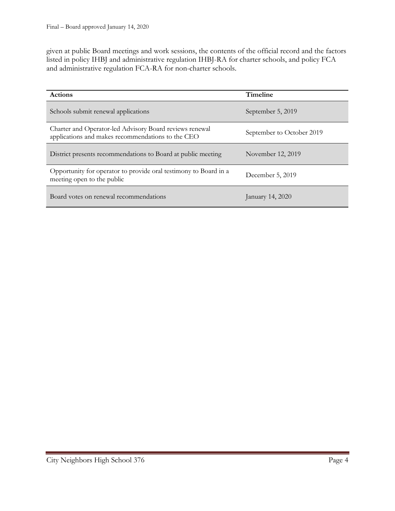given at public Board meetings and work sessions, the contents of the official record and the factors listed in policy IHBJ and administrative regulation IHBJ-RA for charter schools, and policy FCA and administrative regulation FCA-RA for non-charter schools.

| <b>Actions</b>                                                                                               | Timeline                  |
|--------------------------------------------------------------------------------------------------------------|---------------------------|
| Schools submit renewal applications                                                                          | September 5, 2019         |
| Charter and Operator-led Advisory Board reviews renewal<br>applications and makes recommendations to the CEO | September to October 2019 |
| District presents recommendations to Board at public meeting                                                 | November 12, 2019         |
| Opportunity for operator to provide oral testimony to Board in a<br>meeting open to the public               | December 5, 2019          |
| Board votes on renewal recommendations                                                                       | January 14, 2020          |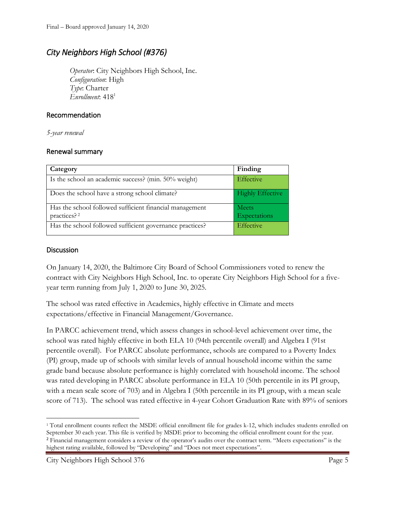## *City Neighbors High School (#376)*

*Operator*: City Neighbors High School, Inc. *Configuration*: High *Type*: Charter *Enrollment*: 418<sup>1</sup>

## Recommendation

*5-year renewal*

## Renewal summary

| Category                                                                           | Finding                 |
|------------------------------------------------------------------------------------|-------------------------|
| Is the school an academic success? (min. 50% weight)                               | Effective               |
| Does the school have a strong school climate?                                      | <b>Highly Effective</b> |
| Has the school followed sufficient financial management<br>practices? <sup>2</sup> | Meets<br>Expectations   |
| Has the school followed sufficient governance practices?                           | Effective               |

## **Discussion**

On January 14, 2020, the Baltimore City Board of School Commissioners voted to renew the contract with City Neighbors High School, Inc. to operate City Neighbors High School for a fiveyear term running from July 1, 2020 to June 30, 2025.

The school was rated effective in Academics, highly effective in Climate and meets expectations/effective in Financial Management/Governance.

In PARCC achievement trend, which assess changes in school-level achievement over time, the school was rated highly effective in both ELA 10 (94th percentile overall) and Algebra I (91st percentile overall). For PARCC absolute performance, schools are compared to a Poverty Index (PI) group, made up of schools with similar levels of annual household income within the same grade band because absolute performance is highly correlated with household income. The school was rated developing in PARCC absolute performance in ELA 10 (50th percentile in its PI group, with a mean scale score of 703) and in Algebra I (50th percentile in its PI group, with a mean scale score of 713). The school was rated effective in 4-year Cohort Graduation Rate with 89% of seniors

l <sup>1</sup> Total enrollment counts reflect the MSDE official enrollment file for grades k-12, which includes students enrolled on September 30 each year. This file is verified by MSDE prior to becoming the official enrollment count for the year. <sup>2</sup> Financial management considers a review of the operator's audits over the contract term. "Meets expectations" is the highest rating available, followed by "Developing" and "Does not meet expectations".

City Neighbors High School 376 Page 5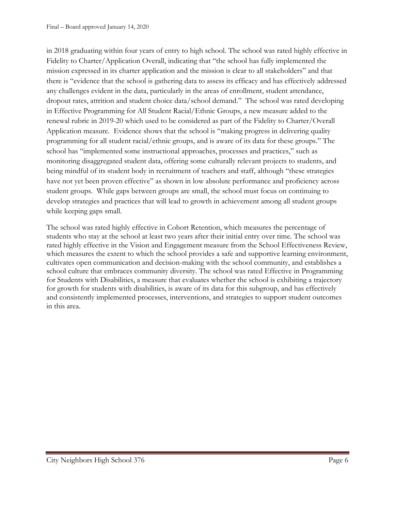in 2018 graduating within four years of entry to high school. The school was rated highly effective in Fidelity to Charter/Application Overall, indicating that "the school has fully implemented the mission expressed in its charter application and the mission is clear to all stakeholders" and that there is "evidence that the school is gathering data to assess its efficacy and has effectively addressed any challenges evident in the data, particularly in the areas of enrollment, student attendance, dropout rates, attrition and student choice data/school demand." The school was rated developing in Effective Programming for All Student Racial/Ethnic Groups, a new measure added to the renewal rubric in 2019-20 which used to be considered as part of the Fidelity to Charter/Overall Application measure. Evidence shows that the school is "making progress in delivering quality programming for all student racial/ethnic groups, and is aware of its data for these groups." The school has "implemented some instructional approaches, processes and practices," such as monitoring disaggregated student data, offering some culturally relevant projects to students, and being mindful of its student body in recruitment of teachers and staff, although "these strategies have not yet been proven effective" as shown in low absolute performance and proficiency across student groups. While gaps between groups are small, the school must focus on continuing to develop strategies and practices that will lead to growth in achievement among all student groups while keeping gaps small.

The school was rated highly effective in Cohort Retention, which measures the percentage of students who stay at the school at least two years after their initial entry over time. The school was rated highly effective in the Vision and Engagement measure from the School Effectiveness Review, which measures the extent to which the school provides a safe and supportive learning environment, cultivates open communication and decision-making with the school community, and establishes a school culture that embraces community diversity. The school was rated Effective in Programming for Students with Disabilities, a measure that evaluates whether the school is exhibiting a trajectory for growth for students with disabilities, is aware of its data for this subgroup, and has effectively and consistently implemented processes, interventions, and strategies to support student outcomes in this area.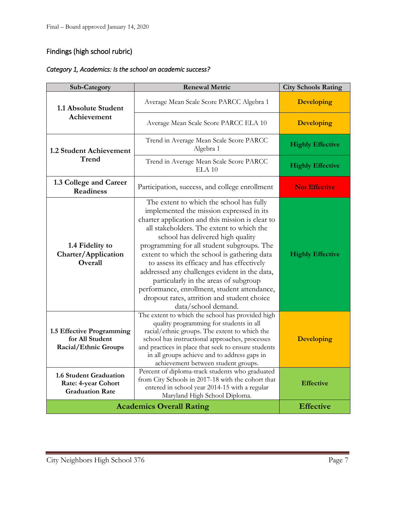## Findings (high school rubric)

| Sub-Category                                                                   | <b>Renewal Metric</b>                                                                                                                                                                                                                                                                                                                                                                                                                                                                                                                                                                  | <b>City Schools Rating</b> |
|--------------------------------------------------------------------------------|----------------------------------------------------------------------------------------------------------------------------------------------------------------------------------------------------------------------------------------------------------------------------------------------------------------------------------------------------------------------------------------------------------------------------------------------------------------------------------------------------------------------------------------------------------------------------------------|----------------------------|
| 1.1 Absolute Student                                                           | Average Mean Scale Score PARCC Algebra 1                                                                                                                                                                                                                                                                                                                                                                                                                                                                                                                                               | <b>Developing</b>          |
| Achievement                                                                    | Average Mean Scale Score PARCC ELA 10                                                                                                                                                                                                                                                                                                                                                                                                                                                                                                                                                  | <b>Developing</b>          |
| 1.2 Student Achievement                                                        | Trend in Average Mean Scale Score PARCC<br>Algebra 1                                                                                                                                                                                                                                                                                                                                                                                                                                                                                                                                   | <b>Highly Effective</b>    |
| Trend                                                                          | Trend in Average Mean Scale Score PARCC<br>ELA <sub>10</sub>                                                                                                                                                                                                                                                                                                                                                                                                                                                                                                                           | <b>Highly Effective</b>    |
| 1.3 College and Career<br><b>Readiness</b>                                     | Participation, success, and college enrollment                                                                                                                                                                                                                                                                                                                                                                                                                                                                                                                                         | <b>Not Effective</b>       |
| 1.4 Fidelity to<br>Charter/Application<br>Overall                              | The extent to which the school has fully<br>implemented the mission expressed in its<br>charter application and this mission is clear to<br>all stakeholders. The extent to which the<br>school has delivered high quality<br>programming for all student subgroups. The<br>extent to which the school is gathering data<br>to assess its efficacy and has effectively<br>addressed any challenges evident in the data,<br>particularly in the areas of subgroup<br>performance, enrollment, student attendance,<br>dropout rates, attrition and student choice<br>data/school demand. | <b>Highly Effective</b>    |
| 1.5 Effective Programming<br>for All Student<br>Racial/Ethnic Groups           | The extent to which the school has provided high<br>quality programming for students in all<br>racial/ethnic groups. The extent to which the<br>school has instructional approaches, processes<br>and practices in place that seek to ensure students<br>in all groups achieve and to address gaps in<br>achievement between student groups.                                                                                                                                                                                                                                           | <b>Developing</b>          |
| <b>1.6 Student Graduation</b><br>Rate: 4-year Cohort<br><b>Graduation Rate</b> | Percent of diploma-track students who graduated<br>from City Schools in 2017-18 with the cohort that<br>entered in school year 2014-15 with a regular<br>Maryland High School Diploma.                                                                                                                                                                                                                                                                                                                                                                                                 | <b>Effective</b>           |
|                                                                                | <b>Academics Overall Rating</b>                                                                                                                                                                                                                                                                                                                                                                                                                                                                                                                                                        | <b>Effective</b>           |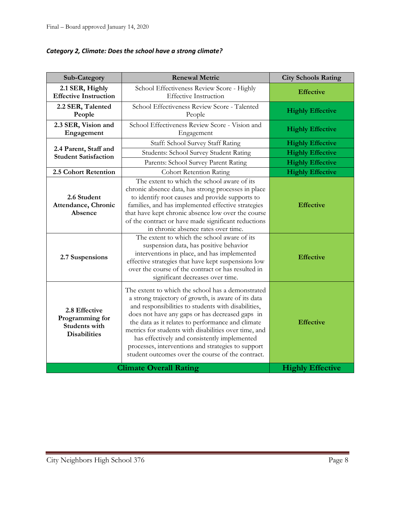|  |  | Category 2, Climate: Does the school have a strong climate? |
|--|--|-------------------------------------------------------------|
|--|--|-------------------------------------------------------------|

| Sub-Category                                                                    | <b>Renewal Metric</b>                                                                                                                                                                                                                                                                                                                                                                                                                                                                       | <b>City Schools Rating</b> |
|---------------------------------------------------------------------------------|---------------------------------------------------------------------------------------------------------------------------------------------------------------------------------------------------------------------------------------------------------------------------------------------------------------------------------------------------------------------------------------------------------------------------------------------------------------------------------------------|----------------------------|
| 2.1 SER, Highly<br><b>Effective Instruction</b>                                 | School Effectiveness Review Score - Highly<br><b>Effective Instruction</b>                                                                                                                                                                                                                                                                                                                                                                                                                  | <b>Effective</b>           |
| 2.2 SER, Talented<br>People                                                     | School Effectiveness Review Score - Talented<br>People                                                                                                                                                                                                                                                                                                                                                                                                                                      | <b>Highly Effective</b>    |
| 2.3 SER, Vision and<br>Engagement                                               | School Effectiveness Review Score - Vision and<br>Engagement                                                                                                                                                                                                                                                                                                                                                                                                                                | <b>Highly Effective</b>    |
|                                                                                 | Staff: School Survey Staff Rating                                                                                                                                                                                                                                                                                                                                                                                                                                                           | <b>Highly Effective</b>    |
| 2.4 Parent, Staff and<br><b>Student Satisfaction</b>                            | Students: School Survey Student Rating                                                                                                                                                                                                                                                                                                                                                                                                                                                      | <b>Highly Effective</b>    |
|                                                                                 | Parents: School Survey Parent Rating                                                                                                                                                                                                                                                                                                                                                                                                                                                        | <b>Highly Effective</b>    |
| 2.5 Cohort Retention                                                            | <b>Cohort Retention Rating</b>                                                                                                                                                                                                                                                                                                                                                                                                                                                              | <b>Highly Effective</b>    |
| 2.6 Student<br>Attendance, Chronic<br>Absence                                   | The extent to which the school aware of its<br>chronic absence data, has strong processes in place<br>to identify root causes and provide supports to<br>families, and has implemented effective strategies<br>that have kept chronic absence low over the course<br>of the contract or have made significant reductions<br>in chronic absence rates over time.                                                                                                                             | <b>Effective</b>           |
| 2.7 Suspensions                                                                 | The extent to which the school aware of its<br>suspension data, has positive behavior<br>interventions in place, and has implemented<br>effective strategies that have kept suspensions low<br>over the course of the contract or has resulted in<br>significant decreases over time.                                                                                                                                                                                                       | <b>Effective</b>           |
| 2.8 Effective<br>Programming for<br><b>Students with</b><br><b>Disabilities</b> | The extent to which the school has a demonstrated<br>a strong trajectory of growth, is aware of its data<br>and responsibilities to students with disabilities,<br>does not have any gaps or has decreased gaps in<br>the data as it relates to performance and climate<br>metrics for students with disabilities over time, and<br>has effectively and consistently implemented<br>processes, interventions and strategies to support<br>student outcomes over the course of the contract. | <b>Effective</b>           |
|                                                                                 | <b>Climate Overall Rating</b>                                                                                                                                                                                                                                                                                                                                                                                                                                                               | <b>Highly Effective</b>    |